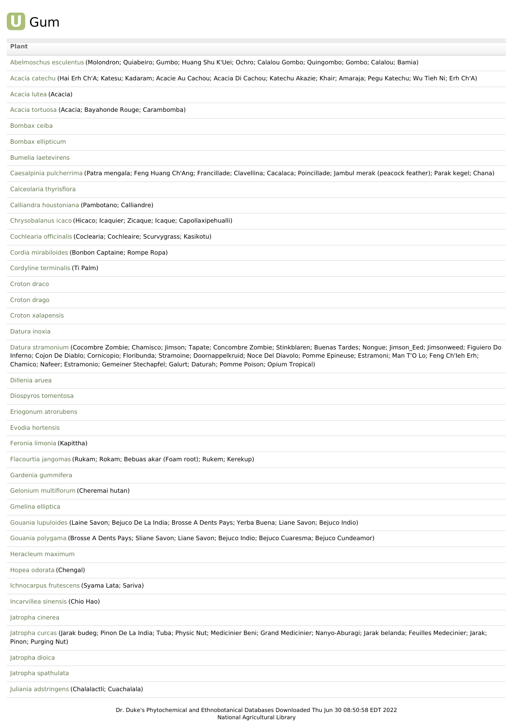

| Plant                                                                                                                                                                                                                                                                                                                                                                                                                  |
|------------------------------------------------------------------------------------------------------------------------------------------------------------------------------------------------------------------------------------------------------------------------------------------------------------------------------------------------------------------------------------------------------------------------|
| Abelmoschus esculentus (Molondron; Quiabeiro; Gumbo; Huang Shu K'Uei; Ochro; Calalou Gombo; Quingombo; Gombo; Calalou; Bamia)                                                                                                                                                                                                                                                                                          |
| Acacia catechu (Hai Erh Ch'A; Katesu; Kadaram; Acacie Au Cachou; Acacia Di Cachou; Katechu Akazie; Khair; Amaraja; Pegu Katechu; Wu Tieh Ni; Erh Ch'A)                                                                                                                                                                                                                                                                 |
| Acacia lutea (Acacia)                                                                                                                                                                                                                                                                                                                                                                                                  |
| Acacia tortuosa (Acacia; Bayahonde Rouge; Carambomba)                                                                                                                                                                                                                                                                                                                                                                  |
| Bombax ceiba                                                                                                                                                                                                                                                                                                                                                                                                           |
| Bombax ellipticum                                                                                                                                                                                                                                                                                                                                                                                                      |
| <b>Bumelia laetevirens</b>                                                                                                                                                                                                                                                                                                                                                                                             |
| Caesalpinia pulcherrima (Patra mengala; Feng Huang Ch'Ang; Francillade; Clavellina; Cacalaca; Poincillade; Jambul merak (peacock feather); Parak kegel; Chana)                                                                                                                                                                                                                                                         |
| Calceolaria thyrisflora                                                                                                                                                                                                                                                                                                                                                                                                |
| Calliandra houstoniana (Pambotano; Calliandre)                                                                                                                                                                                                                                                                                                                                                                         |
| Chrysobalanus icaco (Hicaco; Icaquier; Zicaque; Icaque; Capollaxipehualli)                                                                                                                                                                                                                                                                                                                                             |
| Cochlearia officinalis (Coclearia; Cochleaire; Scurvygrass; Kasikotu)                                                                                                                                                                                                                                                                                                                                                  |
| Cordia mirabiloides (Bonbon Captaine; Rompe Ropa)                                                                                                                                                                                                                                                                                                                                                                      |
| Cordyline terminalis (Ti Palm)                                                                                                                                                                                                                                                                                                                                                                                         |
| Croton draco                                                                                                                                                                                                                                                                                                                                                                                                           |
| Croton drago                                                                                                                                                                                                                                                                                                                                                                                                           |
| Croton xalapensis                                                                                                                                                                                                                                                                                                                                                                                                      |
| Datura inoxia                                                                                                                                                                                                                                                                                                                                                                                                          |
| Datura stramonium (Cocombre Zombie; Chamisco; Jimson; Tapate; Concombre Zombie; Stinkblaren; Buenas Tardes; Nongue; Jimson_Eed; Jimsonweed; Figuiero Do<br>Inferno; Cojon De Diablo; Cornicopio; Floribunda; Stramoine; Doornappelkruid; Noce Del Diavolo; Pomme Epineuse; Estramoni; Man T'O Lo; Feng Ch'leh Erh;<br>Chamico; Nafeer; Estramonio; Gemeiner Stechapfel; Galurt; Daturah; Pomme Poison; Opium Tropical) |
| Dillenia aruea                                                                                                                                                                                                                                                                                                                                                                                                         |
| Diospyros tomentosa                                                                                                                                                                                                                                                                                                                                                                                                    |
| Eriogonum atrorubens                                                                                                                                                                                                                                                                                                                                                                                                   |
| Evodia hortensis                                                                                                                                                                                                                                                                                                                                                                                                       |
| Feronia limonia (Kapittha)                                                                                                                                                                                                                                                                                                                                                                                             |
| Flacourtia jangomas (Rukam; Rokam; Bebuas akar (Foam root); Rukem; Kerekup)                                                                                                                                                                                                                                                                                                                                            |
| Gardenia gummifera                                                                                                                                                                                                                                                                                                                                                                                                     |
| Gelonium multiflorum (Cheremai hutan)                                                                                                                                                                                                                                                                                                                                                                                  |
| Gmelina elliptica                                                                                                                                                                                                                                                                                                                                                                                                      |
| Gouania lupuloides (Laine Savon; Bejuco De La India; Brosse A Dents Pays; Yerba Buena; Liane Savon; Bejuco Indio)                                                                                                                                                                                                                                                                                                      |
| Gouania polygama (Brosse A Dents Pays; Sliane Savon; Liane Savon; Bejuco Indio; Bejuco Cuaresma; Bejuco Cundeamor)                                                                                                                                                                                                                                                                                                     |
| Heracleum maximum                                                                                                                                                                                                                                                                                                                                                                                                      |
| Hopea odorata (Chengal)                                                                                                                                                                                                                                                                                                                                                                                                |
| Ichnocarpus frutescens (Syama Lata; Sariva)                                                                                                                                                                                                                                                                                                                                                                            |
| Incarvillea sinensis (Chio Hao)                                                                                                                                                                                                                                                                                                                                                                                        |
| Jatropha cinerea                                                                                                                                                                                                                                                                                                                                                                                                       |
| Jatropha curcas (Jarak budeg; Pinon De La India; Tuba; Physic Nut; Medicinier Beni; Grand Medicinier; Nanyo-Aburagi; Jarak belanda; Feuilles Medecinier; Jarak;<br>Pinon; Purging Nut)                                                                                                                                                                                                                                 |
| Jatropha dioica                                                                                                                                                                                                                                                                                                                                                                                                        |
| Jatropha spathulata                                                                                                                                                                                                                                                                                                                                                                                                    |
| Juliania adstringens (Chalalactli; Cuachalala)                                                                                                                                                                                                                                                                                                                                                                         |